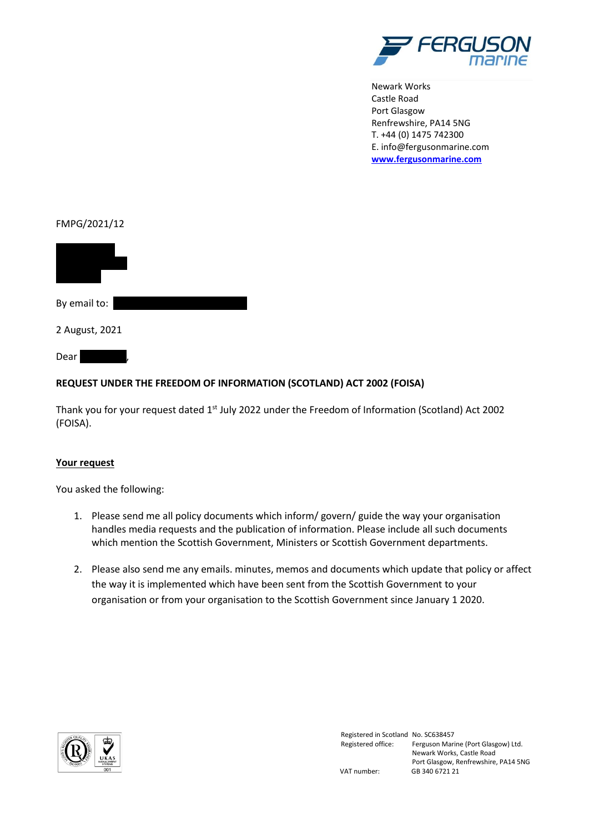

Newark Works Castle Road Port Glasgow Renfrewshire, PA14 5NG T. +44 (0) 1475 742300 E. info@fergusonmarine.com **[www.fergusonmarine.com](http://www.fergusonmarine.com/)**

# FMPG/2021/12



By email to:

2 August, 2021

Dear

# **REQUEST UNDER THE FREEDOM OF INFORMATION (SCOTLAND) ACT 2002 (FOISA)**

Thank you for your request dated 1<sup>st</sup> July 2022 under the Freedom of Information (Scotland) Act 2002 (FOISA).

## **Your request**

You asked the following:

- 1. Please send me all policy documents which inform/ govern/ guide the way your organisation handles media requests and the publication of information. Please include all such documents which mention the Scottish Government, Ministers or Scottish Government departments.
- 2. Please also send me any emails. minutes, memos and documents which update that policy or affect the way it is implemented which have been sent from the Scottish Government to your organisation or from your organisation to the Scottish Government since January 1 2020.



Registered in Scotland No. SC638457<br>Registered office: Ferguson Mari Ferguson Marine (Port Glasgow) Ltd. Newark Works, Castle Road Port Glasgow, Renfrewshire, PA14 5NG

VAT number: GB 340 6721 21